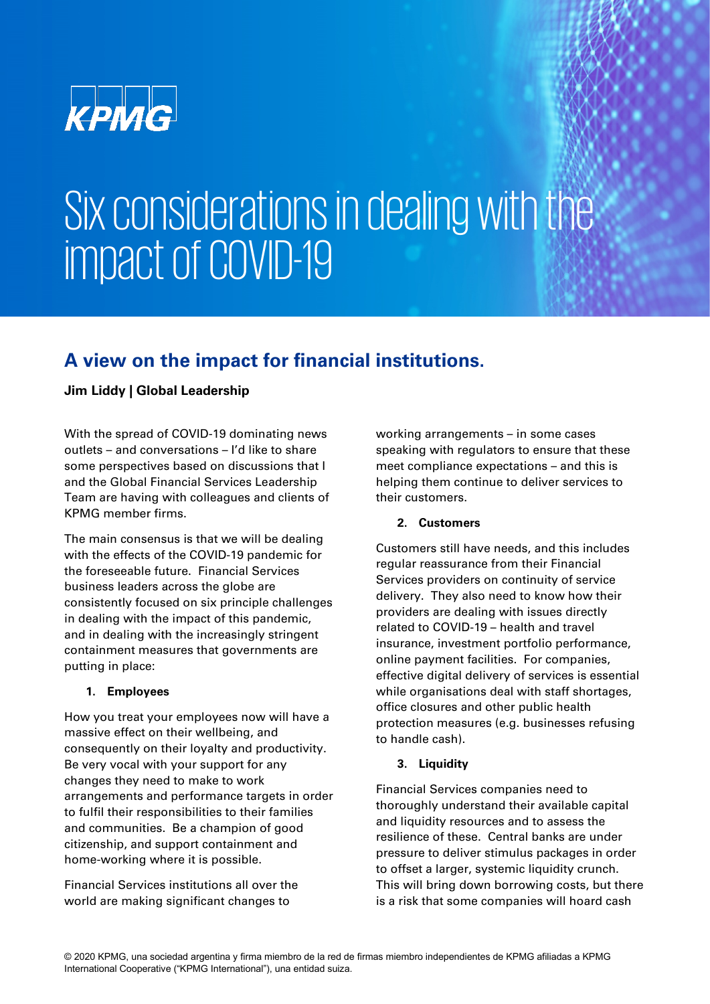

# Six considerations in dealing with the impact of COVID-19

### **A view on the impact for financial institutions.**

#### **Jim Liddy | Global Leadership**

With the spread of COVID-19 dominating news outlets – and conversations – I'd like to share some perspectives based on discussions that I and the Global Financial Services Leadership Team are having with colleagues and clients of KPMG member firms.

The main consensus is that we will be dealing with the effects of the COVID-19 pandemic for the foreseeable future. Financial Services business leaders across the globe are consistently focused on six principle challenges in dealing with the impact of this pandemic, and in dealing with the increasingly stringent containment measures that governments are putting in place:

#### **1. Employees**

How you treat your employees now will have a massive effect on their wellbeing, and consequently on their loyalty and productivity. Be very vocal with your support for any changes they need to make to work arrangements and performance targets in order to fulfil their responsibilities to their families and communities. Be a champion of good citizenship, and support containment and home-working where it is possible.

Financial Services institutions all over the world are making significant changes to

working arrangements – in some cases speaking with regulators to ensure that these meet compliance expectations – and this is helping them continue to deliver services to their customers.

#### **2. Customers**

Customers still have needs, and this includes regular reassurance from their Financial Services providers on continuity of service delivery. They also need to know how their providers are dealing with issues directly related to COVID-19 – health and travel insurance, investment portfolio performance, online payment facilities. For companies, effective digital delivery of services is essential while organisations deal with staff shortages, office closures and other public health protection measures (e.g. businesses refusing to handle cash).

#### **3. Liquidity**

Financial Services companies need to thoroughly understand their available capital and liquidity resources and to assess the resilience of these. Central banks are under pressure to deliver stimulus packages in order to offset a larger, systemic liquidity crunch. This will bring down borrowing costs, but there is a risk that some companies will hoard cash